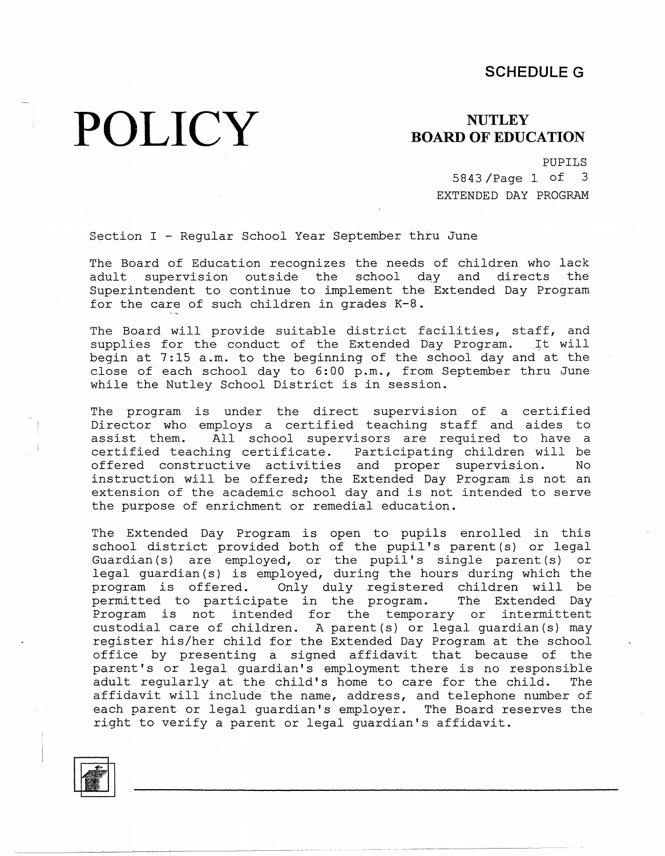#### **SCHEDULE G**

# **POLICY**

### **NUTLEY BOARD OF EDUCATION**

PUPILS

5843 /Page 1 of 3 EXTENDED DAY PROGRAM

Section I - Regular School Year September thru June

The Board of Education recognizes the needs of children who lack adult supervision outside the school day and directs the Superintendent to continue to implement the Extended Day Program for the care of such children in grades K-8.

The Board will provide suitable district facilities, staff, and supplies for the conduct of the Extended Day Program. It will begin at 7:15 a.m. to the beginning of the school day and at the close of each school day to 6:00 p.m., from September thru June while the Nutley School District is in session.

The program is under the direct supervision of a certified Director who employs a certified teaching staff and aides to assist them. All school supervisors are required to have a certified teaching certificate. Participating children will be offered constructive activities and proper supervision. No instruction will be offered; the Extended Day Program is not an extension of the academic school day and is not intended to serve the purpose of enrichment or remedial education.

The Extended Day Program is open to pupils enrolled in this school district provided both of the pupil's parent (s) or legal Guardian (s) are employed, or the pupil's single parent (s) or legal guardian(s) is employed, during the hours during which the program is offered. Only duly registered children will be permitted to participate in the program. The Extended Day Program is not intended for the temporary or intermittent custodial care of children. A parent(s) or legal guardian(s) may register his/her child for the Extended Day Program at the school office by presenting a signed affidavit that because of the parent's or legal guardian's employment there is no responsible adult regularly at the child's home to care for the child. The affidavit will include the name, address, and telephone number of each parent or legal guardian's employer. The Board reserves the right to verify a parent or legal guardian's affidavit.

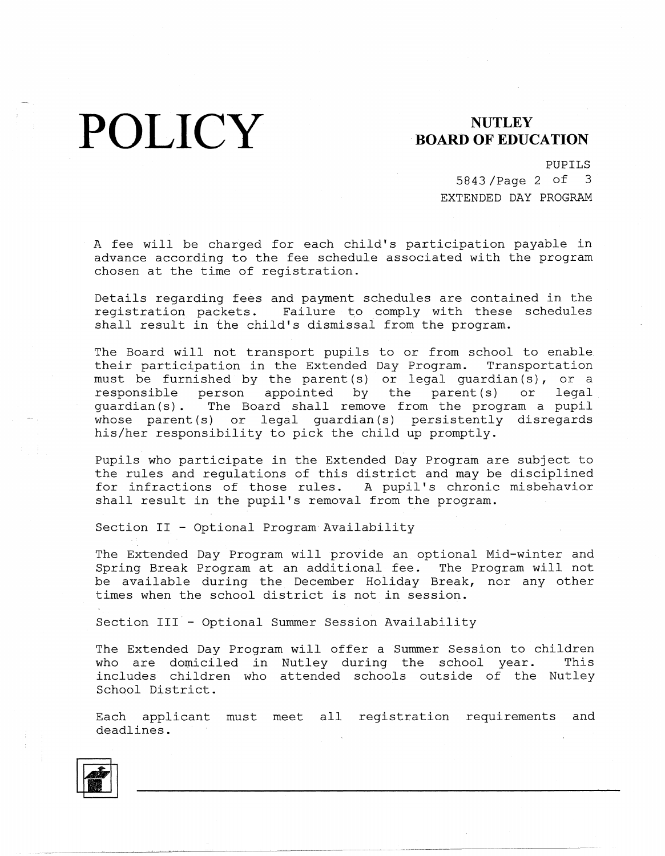**POLICY** BOARD OF EDUC

## **BOARD OF EDUCATION**

PUPILS

5843 /Page 2 of 3 EXTENDED DAY PROGRAM

A fee will be charged for each child's participation payable in advance according to the fee schedule associated with the program chosen at the time of registration.

Details regarding fees and payment schedules are contained in the registration packets. Failure to comply with these schedules shall result in the child's dismissal from the program.

The Board will not transport pupils to or from school to enable their participation in the Extended Day Program. Transportation must be furnished by the parent  $(s)$  or legal quardian $(s)$ , or a responsible person appointed by the parent (s) or legal guardian(s). The Board shall remove from the program a pupil whose parent(s) or legal guardian(s) persistently disregards his/her responsibility to pick the child up promptly.

Pupils who participate in the Extended Day Program are subject to the rules and regulations of this district and may be disciplined for infractions of those rules. A pupil's chronic misbehavior shall result in the pupil's removal from the program.

Section II - Optional Program Availability

The Extended Day Program will provide an optional Mid-winter and Spring Break Program at an additional fee. The Program will not be available during the December Holiday Break, nor any other times when the school district is not in session.

Section III - Optional Summer Session Availability

The Extended Day Program will offer a Summer Session to children who are domiciled in Nutley during the school year. This includes children who attended schools outside of the Nutley School District.

Each applicant must meet all registration requirements and deadlines.